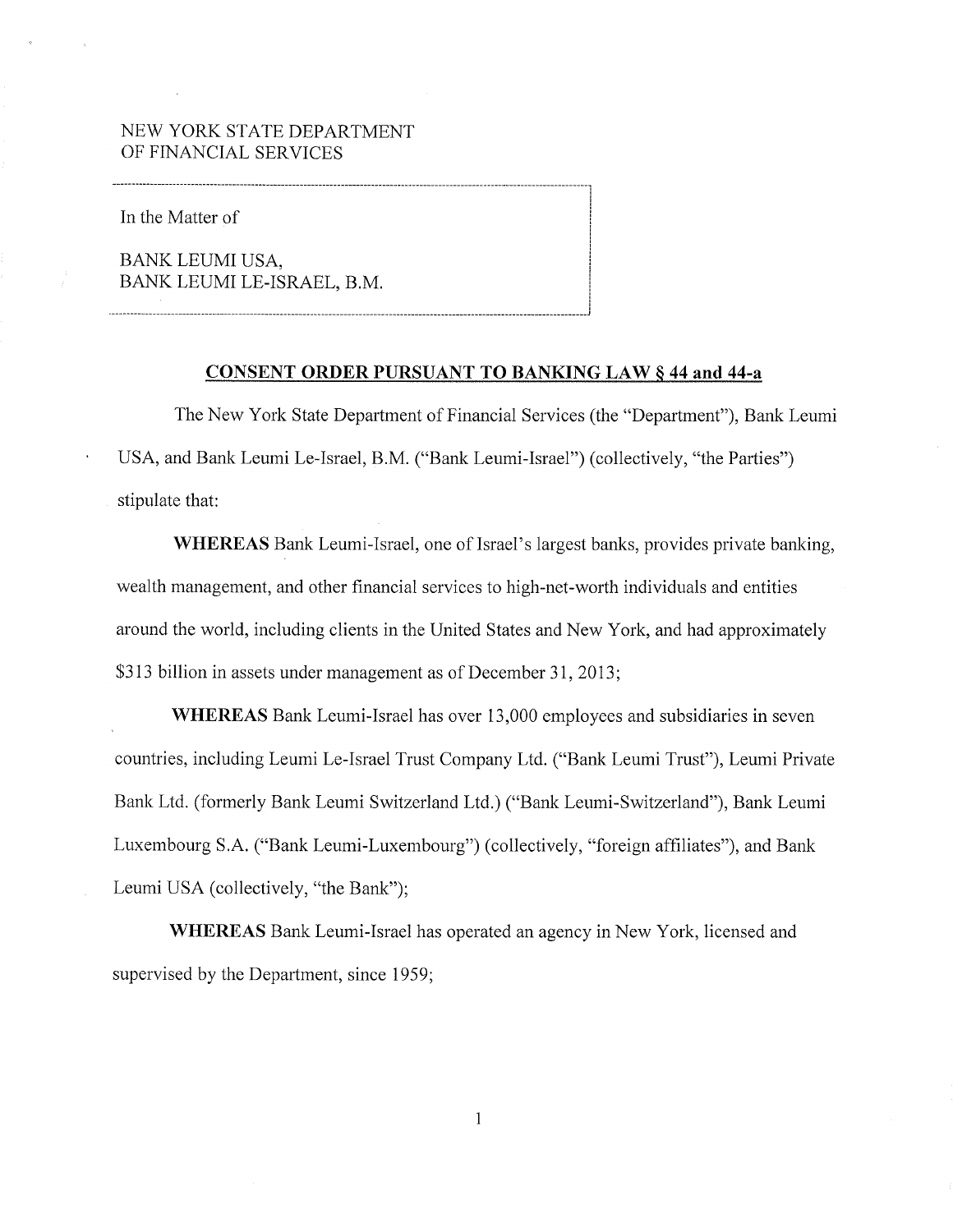## NEW YORK STATE DEPARTMENT OF FINANCIAL SERVICES

In the Matter of

BANK LEUMI USA, BANK LEUMI LE-ISRAEL, B.M.

**·-------------------------------------------------------------------------------------------------------------------------------J** 

### **CONSENT ORDER PURSUANT TO BANKING LAW§ 44 and 44-a**

The New York State Department of Financial Services (the "Department"), Bank Leumi USA, and Bank Leumi Le-Israel, B.M. ("Bank Leumi-Israel") (collectively, "the Parties") stipulate that:

**WHEREAS** Bank Leumi-Israel, one of Israel's largest banks, provides private banking, wealth management, and other financial services to high-net-worth individuals and entities around the world, including clients in the United States and New York, and had approximately \$313 billion in assets under management as of December 31, 2013;

**WHEREAS** Bank Leumi-Israel has over 13,000 employees and subsidiaries in seven countries, including Leumi Le-Israel Trust Company Ltd. ("Bank Leumi Trust"), Leumi Private Bank Ltd. (formerly Bank Leumi Switzerland Ltd.) ("Bank Leumi-Switzerland"), Bank Leumi Luxembourg S.A. ("Bank Leumi-Luxembourg") (collectively, "foreign affiliates"), and Bank Leumi USA (collectively, "the Bank");

**WHEREAS** Bank Leumi-Israel has operated an agency in New York, licensed and supervised by the Department, since 1959;

 $\mathbf{1}$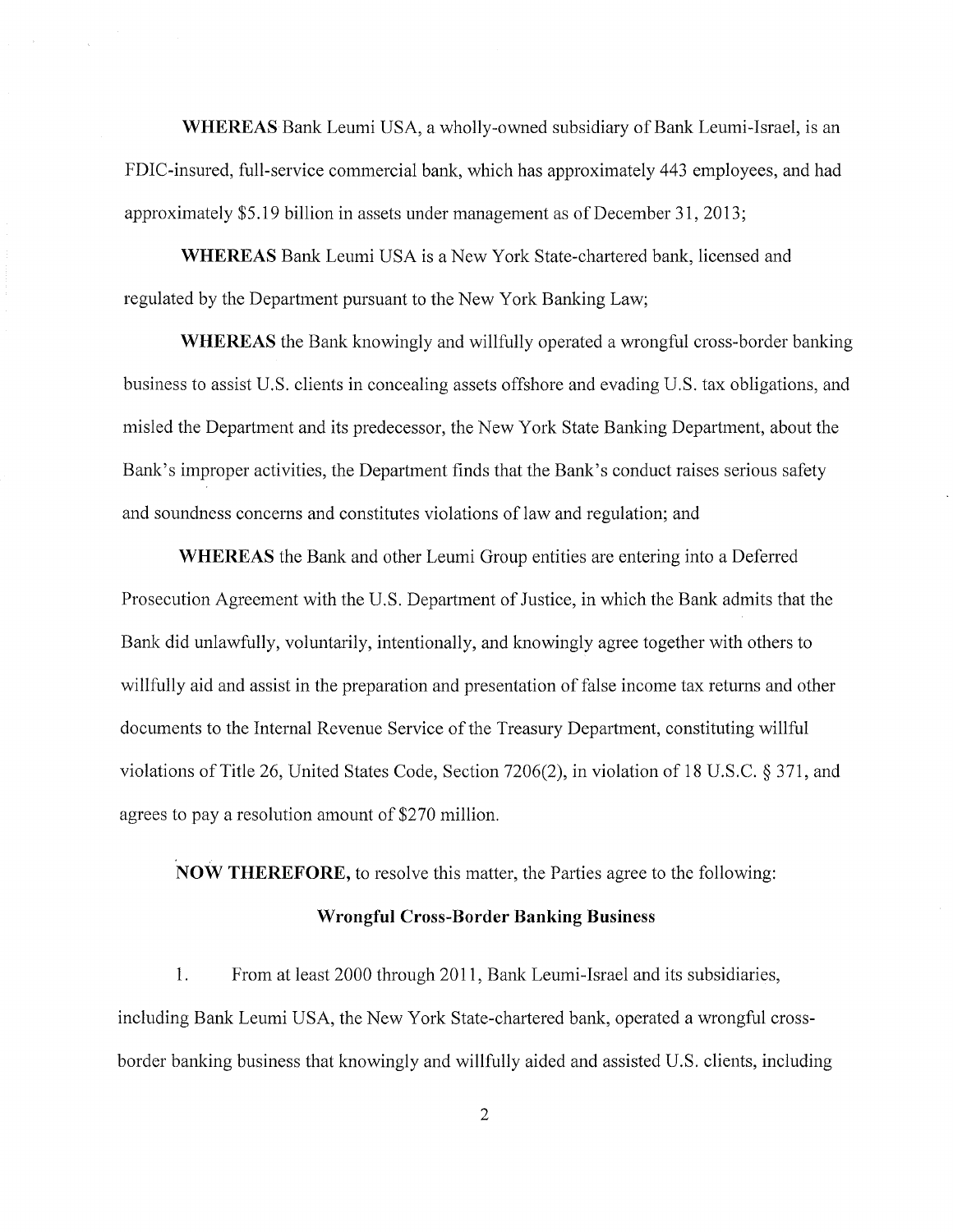**WHEREAS** Bank Leumi USA, a wholly-owned subsidiary of Bank Leumi-Israel, is an FDIC-insured, full-service commercial bank, which has approximately 443 employees, and had approximately \$5.19 billion in assets under management as of December 31, 2013;

**WHEREAS** Bank Leumi USA is a New York State-chartered bank, licensed and regulated by the Department pursuant to the New York Banking Law;

**WHEREAS** the Bank knowingly and willfully operated a wrongful cross-border banking business to assist U.S. clients in concealing assets offshore and evading U.S. tax obligations, and misled the Department and its predecessor, the New York State Banking Department, about the Bank's improper activities, the Department finds that the Bank's conduct raises serious safety and soundness concerns and constitutes violations of law and regulation; and

**WHEREAS** the Bank and other Leumi Group entities are entering into a Deferred Prosecution Agreement with the U.S. Department of Justice, in which the Bank admits that the Bank did unlawfully, voluntarily, intentionally, and knowingly agree together with others to willfully aid and assist in the preparation and presentation of false income tax returns and other documents to the Internal Revenue Service of the Treasury Department, constituting willful violations of Title 26, United States Code, Section 7206(2), in violation of 18 U.S.C. § 371, and agrees to pay a resolution amount of \$270 million.

**NOW THEREFORE,** to resolve this matter, the Parties agree to the following:

#### **Wrongful Cross-Border Banking Business**

1. From at least 2000 through 2011, Bank Leumi-Israel and its subsidiaries, including Bank Leumi USA, the New York State-chartered bank, operated a wrongful crossborder banking business that knowingly and willfully aided and assisted U.S. clients, including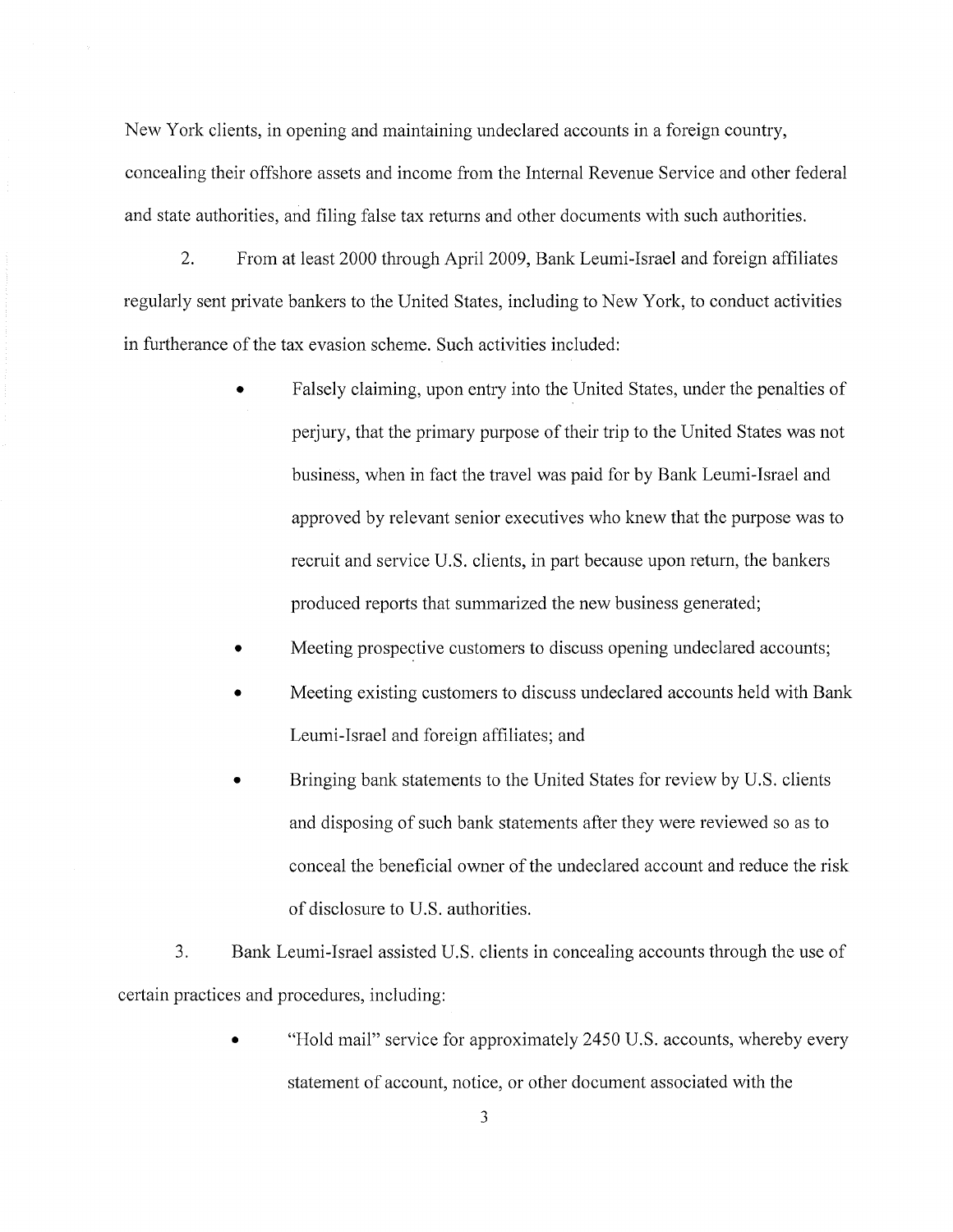New York clients, in opening and maintaining undeclared accounts in a foreign country, concealing their offshore assets and income from the Internal Revenue Service and other federal and state authorities, and filing false tax returns and other documents with such authorities.

2. From at least 2000 through April2009, Bank Leumi-Israel and foreign affiliates regularly sent private bankers to the United States, including to New York, to conduct activities in furtherance of the tax evasion scheme. Such activities included:

- Falsely claiming, upon entry into the United States, under the penalties of perjury, that the primary purpose of their trip to the United States was not business, when in fact the travel was paid for by Bank Leumi-Israel and approved by relevant senior executives who knew that the purpose was to recruit and service U.S. clients, in part because upon return, the bankers produced reports that summarized the new business generated;
- Meeting prospective customers to discuss opening undeclared accounts;
- Meeting existing customers to discuss undeclared accounts held with Bank Leumi-Israel and foreign affiliates; and
- Bringing bank statements to the United States for review by U.S. clients and disposing of such bank statements after they were reviewed so as to conceal the beneficial owner of the undeclared account and reduce the risk of disclosure to U.S. authorities.

3. Bank Leumi-Israel assisted U.S. clients in concealing accounts through the use of certain practices and procedures, including:

> "Hold mail" service for approximately 2450 U.S. accounts, whereby every statement of account, notice, or other document associated with the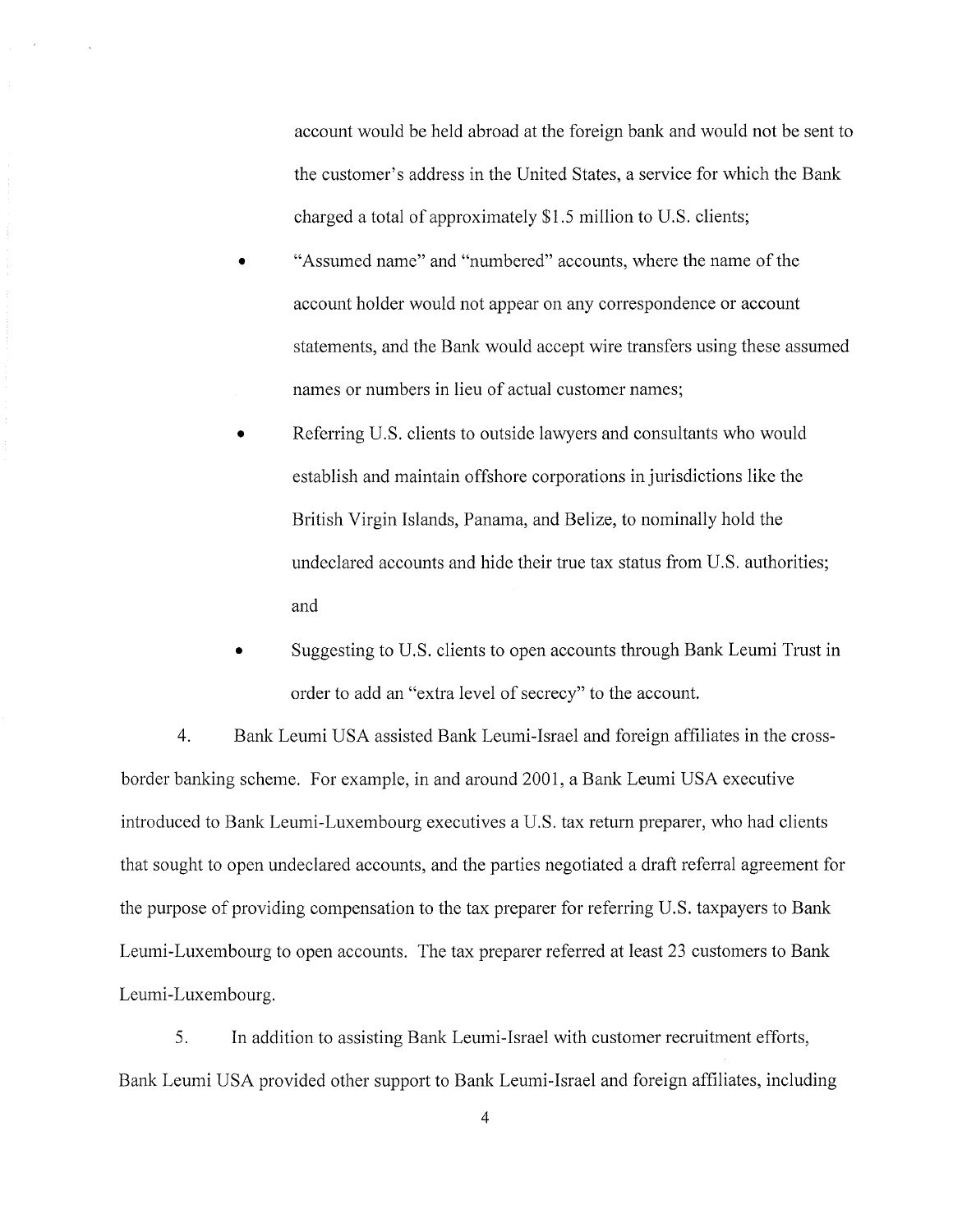account would be held abroad at the foreign bank and would not be sent to the customer's address in the United States, a service for which the Bank charged a total of approximately \$1.5 million to U.S. clients;

- "Assumed name" and "numbered" accounts, where the name of the account holder would not appear on any correspondence or account statements, and the Bank would accept wire transfers using these assumed names or numbers in lieu of actual customer names;
- Referring U.S. clients to outside lawyers and consultants who would establish and maintain offshore corporations in jurisdictions like the British Virgin Islands, Panama, and Belize, to nominally hold the undeclared accounts and hide their true tax status from U.S. authorities; and
- Suggesting to U.S. clients to open accounts through Bank Leumi Trust in order to add an "extra level of secrecy" to the account.

4. Bank Leumi USA assisted Bank Leumi-Israel and foreign affiliates in the crossborder banking scheme. For example, in and around 2001, a Bank Leumi USA executive introduced to Bank Leumi-Luxembourg executives a U.S. tax return preparer, who had clients that sought to open undeclared accounts, and the parties negotiated a draft referral agreement for the purpose of providing compensation to the tax preparer for referring U.S. taxpayers to Bank Leumi-Luxembourg to open accounts. The tax preparer referred at least 23 customers to Bank Leumi-Luxembourg.

5. In addition to assisting Bank Leumi-Israel with customer recruitment efforts, Bank Leumi USA provided other support to Bank Leumi-Israel and foreign affiliates, including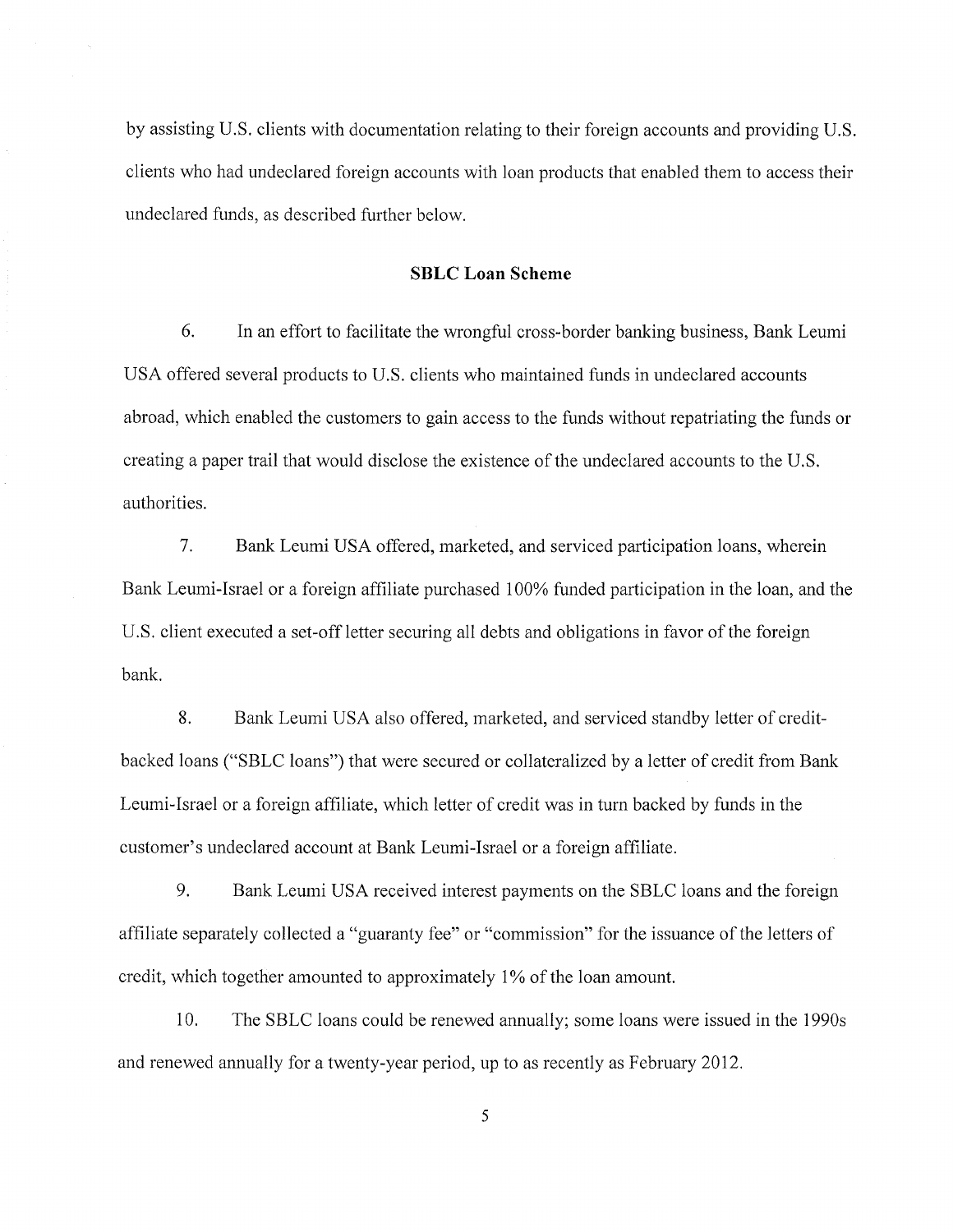by assisting U.S. clients with documentation relating to their foreign accounts and providing U.S. clients who had undeclared foreign accounts with loan products that enabled them to access their undeclared funds, as described further below.

#### **SBLC Loan Scheme**

6. In an effort to facilitate the wrongful cross-border banking business, Bank Leumi USA offered several products to U.S. clients who maintained funds in undeclared accounts abroad, which enabled the customers to gain access to the funds without repatriating the funds or creating a paper trail that would disclose the existence of the undeclared accounts to the U.S. authorities.

7. Bank Leumi USA offered, marketed, and serviced participation loans, wherein Bank Leumi-Israel or a foreign affiliate purchased 100% funded participation in the loan, and the U.S. client executed a set-off letter securing all debts and obligations in favor of the foreign bank.

8. Bank Leumi USA also offered, marketed, and serviced standby letter of creditbacked loans ("SBLC loans") that were secured or collateralized by a letter of credit from Bank Leumi-Israel or a foreign affiliate, which letter of credit was in turn backed by funds in the customer's undeclared account at Bank Leumi-Israel or a foreign affiliate.

9. Bank Leumi USA received interest payments on the SBLC loans and the foreign affiliate separately collected a "guaranty fee" or "commission" for the issuance of the letters of credit, which together amounted to approximately 1% of the loan amount.

10. The SBLC loans could be renewed annually; some loans were issued in the 1990s and renewed annually for a twenty-year period, up to as recently as February 2012.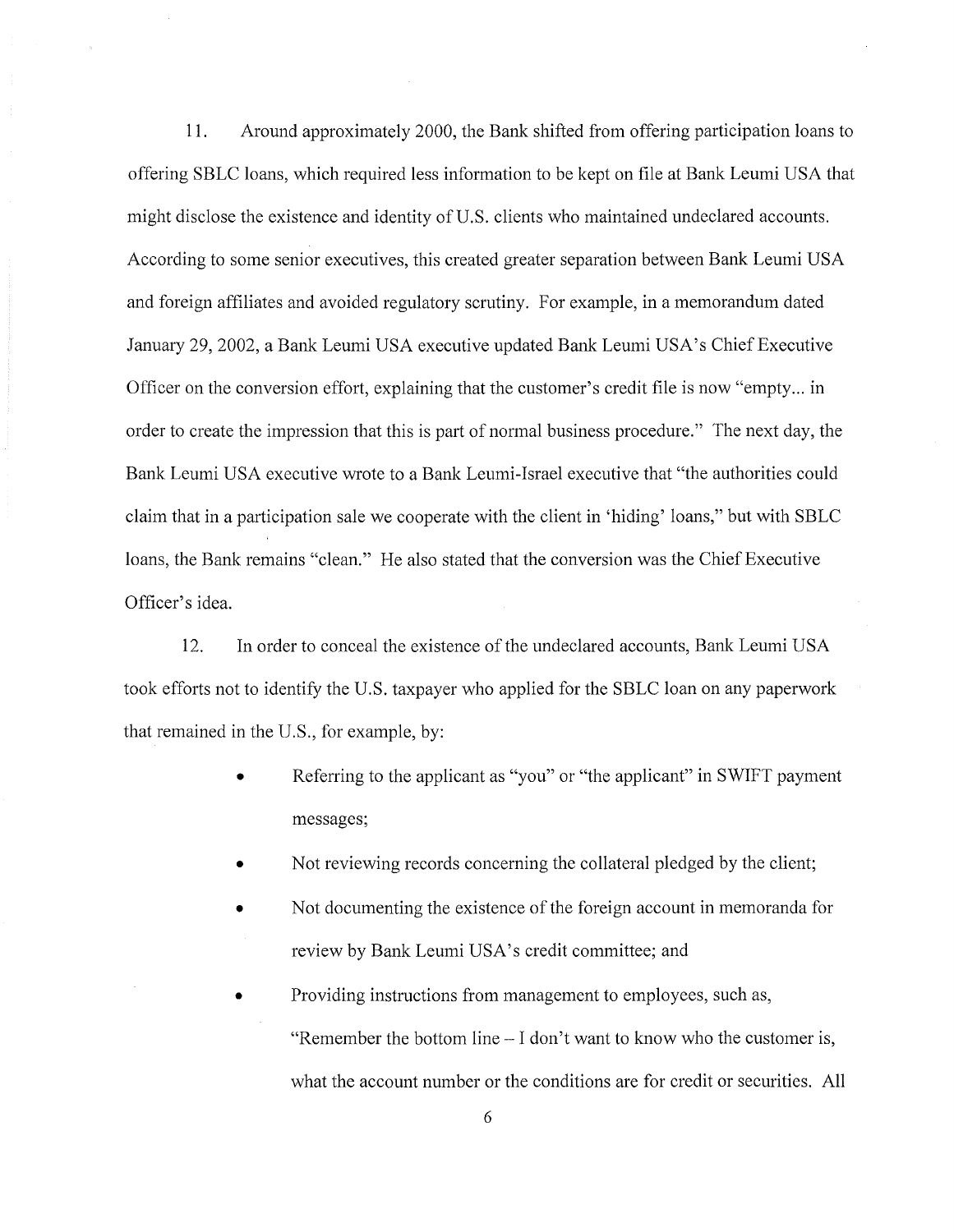11. Around approximately 2000, the Bank shifted from offering participation loans to offering SBLC loans, which required less information to be kept on file at Bank Leumi USA that might disclose the existence and identity of U.S. clients who maintained undeclared accounts. According to some senior executives, this created greater separation between Bank Leumi USA and foreign affiliates and avoided regulatory scrutiny. For example, in a memorandum dated January 29, 2002, a Bank Leumi USA executive updated Bank Leumi USA's Chief Executive Officer on the conversion effort, explaining that the customer's credit file is now "empty ... in order to create the impression that this is part of normal business procedure." The next day, the Bank Leumi USA executive wrote to a Bank Leumi-Israel executive that "the authorities could claim that in a participation sale we cooperate with the client in 'hiding' loans," but with SBLC loans, the Bank remains "clean." He also stated that the conversion was the Chief Executive Officer's idea.

12. In order to conceal the existence of the undeclared accounts, Bank Leumi USA took efforts not to identify the U.S. taxpayer who applied for the SBLC loan on any paperwork that remained in the U.S., for example, by:

- Referring to the applicant as "you" or "the applicant" in SWIFT payment messages;
- Not reviewing records concerning the collateral pledged by the client;
- Not documenting the existence of the foreign account in memoranda for review by Bank Leumi USA's credit committee; and
- Providing instructions from management to employees, such as, "Remember the bottom line- I don't want to know who the customer is, what the account number or the conditions are for credit or securities. All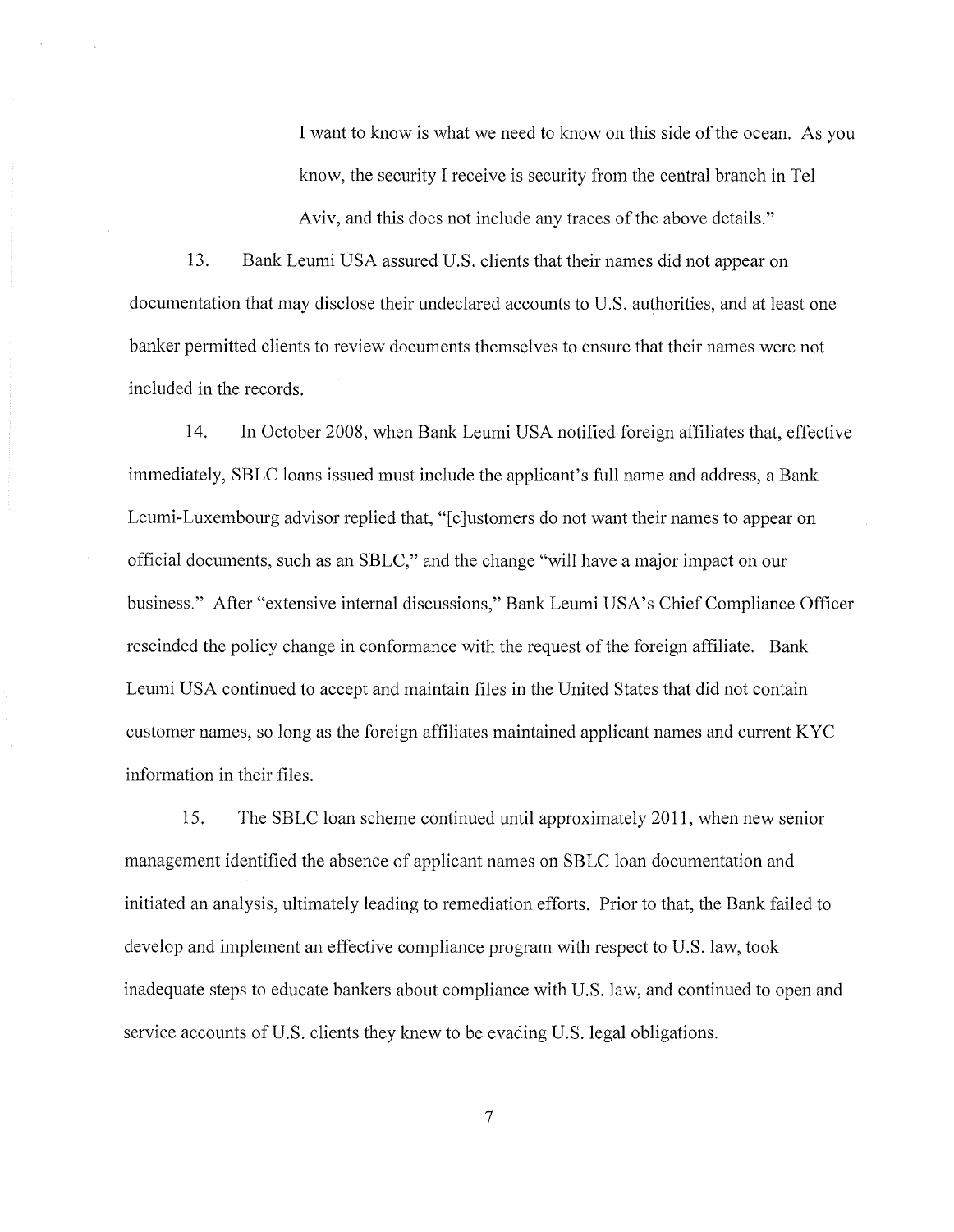I want to know is what we need to know on this side of the ocean. As you know, the security I receive is security from the central branch in Tel Aviv, and this does not include any traces of the above details."

13. Bank Leumi USA assured U.S. clients that their names did not appear on documentation that may disclose their undeclared accounts to U.S. authorities, and at least one banker permitted clients to review documents themselves to ensure that their names were not included in the records.

14. In October 2008, when Bank Leumi USA notified foreign affiliates that, effective immediately, SBLC loans issued must include the applicant's full name and address, a Bank Leumi-Luxembourg advisor replied that, "[c]ustomers do not want their names to appear on official documents, such as an SBLC," and the change "will have a major impact on our business." After "extensive internal discussions," Bank Leumi USA's Chief Compliance Officer rescinded the policy change in conformance with the request of the foreign affiliate. Bank Leumi USA continued to accept and maintain files in the United States that did not contain customer names, so long as the foreign affiliates maintained applicant names and current KYC information in their files.

15. The SBLC loan scheme continued until approximately 2011, when new senior management identified the absence of applicant names on SBLC loan documentation and initiated an analysis, ultimately leading to remediation efforts. Prior to that, the Bank failed to develop and implement an effective compliance program with respect to U.S. law, took inadequate steps to educate bankers about compliance with U.S. law, and continued to open and service accounts of U.S. clients they knew to be evading U.S. legal obligations.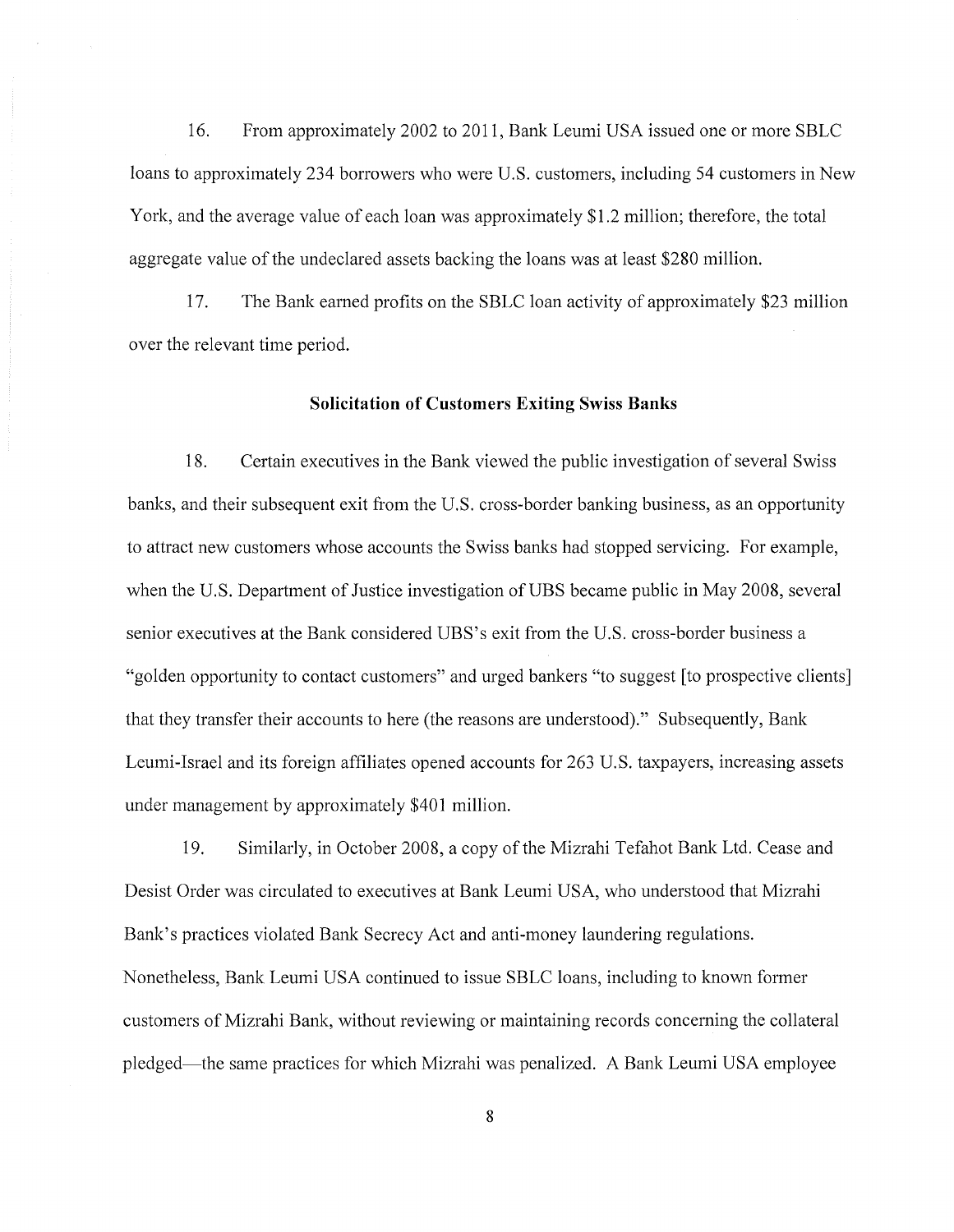16. From approximately 2002 to 2011, Bank Leumi USA issued one or more SBLC loans to approximately 234 borrowers who were U.S. customers, including 54 customers in New York, and the average value of each loan was approximately \$1.2 million; therefore, the total aggregate value of the undeclared assets backing the loans was at least \$280 million.

17. The Bank earned profits on the SBLC loan activity of approximately \$23 million over the relevant time period.

#### **Solicitation of Customers Exiting Swiss Banks**

18. Certain executives in the Bank viewed the public investigation of several Swiss banks, and their subsequent exit from the U.S. cross-border banking business, as an opportunity to attract new customers whose accounts the Swiss banks had stopped servicing. For example, when the U.S. Department of Justice investigation of UBS became public in May 2008, several senior executives at the Bank considered UBS's exit from the U.S. cross-border business a "golden opportunity to contact customers" and urged bankers "to suggest [to prospective clients] that they transfer their accounts to here (the reasons are understood)." Subsequently, Bank Leumi-Israel and its foreign affiliates opened accounts for 263 U.S. taxpayers, increasing assets under management by approximately \$401 million.

19. Similarly, in October 2008, a copy of the Mizrahi Tefahot Bank Ltd. Cease and Desist Order was circulated to executives at Bank Leumi USA, who understood that Mizrahi Bank's practices violated Bank Secrecy Act and anti-money laundering regulations. Nonetheless, Bank Leumi USA continued to issue SBLC loans, including to known former customers of Mizrahi Bank, without reviewing or maintaining records concerning the collateral pledged-the same practices for which Mizrahi was penalized. A Bank Leumi USA employee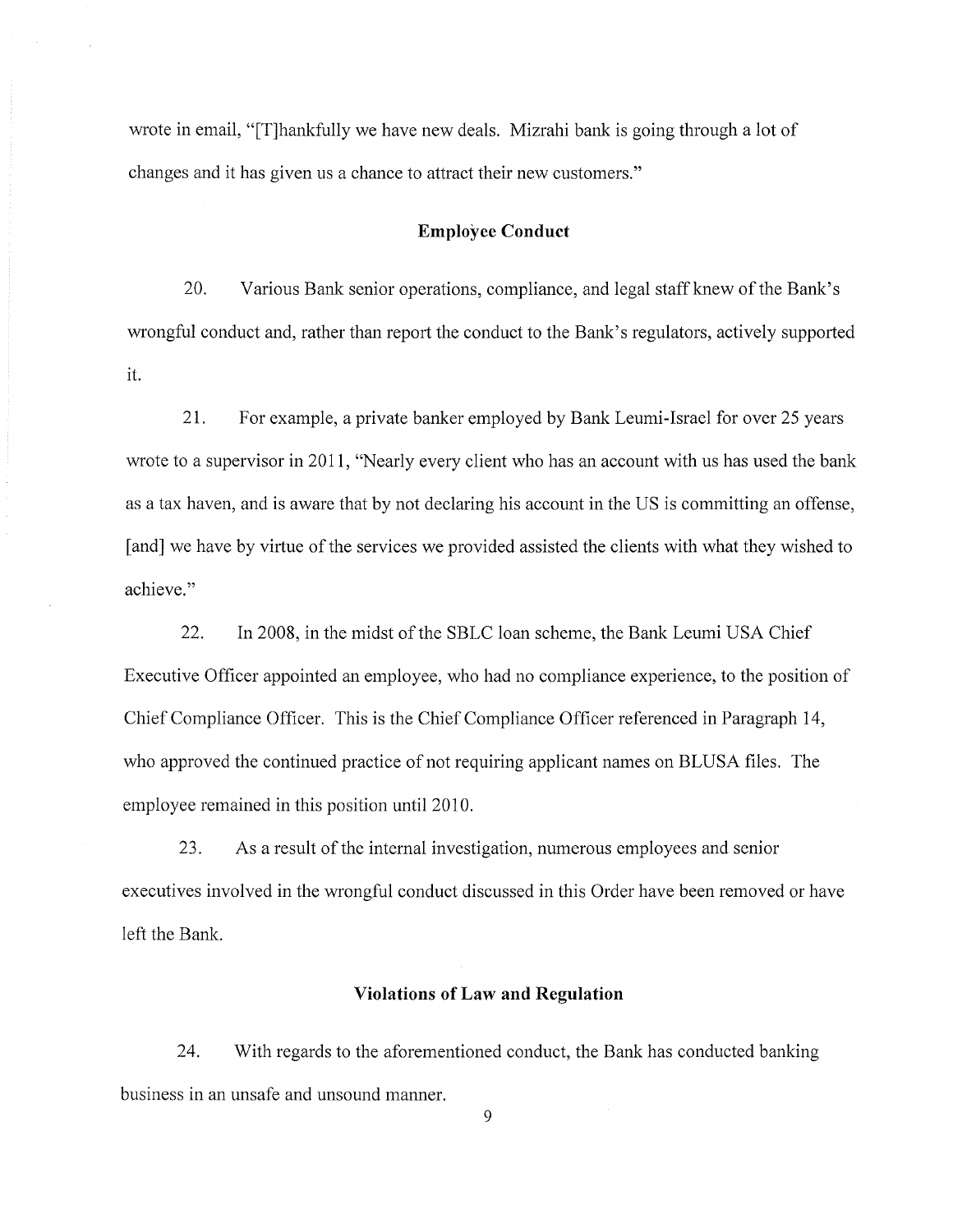wrote in email, "[T]hankfully we have new deals. Mizrahi bank is going through a lot of changes and it has given us a chance to attract their new customers."

## **Employee Conduct**

20. Various Bank senior operations, compliance, and legal staff knew of the Bank's wrongful conduct and, rather than report the conduct to the Bank's regulators, actively supported it.

21. For example, a private banker employed by Bank Leumi-Israel for over 25 years wrote to a supervisor in 2011, "Nearly every client who has an account with us has used the bank as a tax haven, and is aware that by not declaring his account in the US is committing an offense, [and] we have by virtue of the services we provided assisted the clients with what they wished to achieve."

22. In 2008, in the midst of the SBLC loan scheme, the Bank Leumi USA Chief Executive Officer appointed an employee, who had no compliance experience, to the position of Chief Compliance Officer. This is the Chief Compliance Officer referenced in Paragraph 14, who approved the continued practice of not requiring applicant names on BLUSA files. The employee remained in this position until2010.

23. As a result of the internal investigation, numerous employees and senior executives involved in the wrongful conduct discussed in this Order have been removed or have left the Bank.

## **Violations of Law and Regulation**

24. With regards to the aforementioned conduct, the Bank has conducted banking business in an unsafe and unsound manner.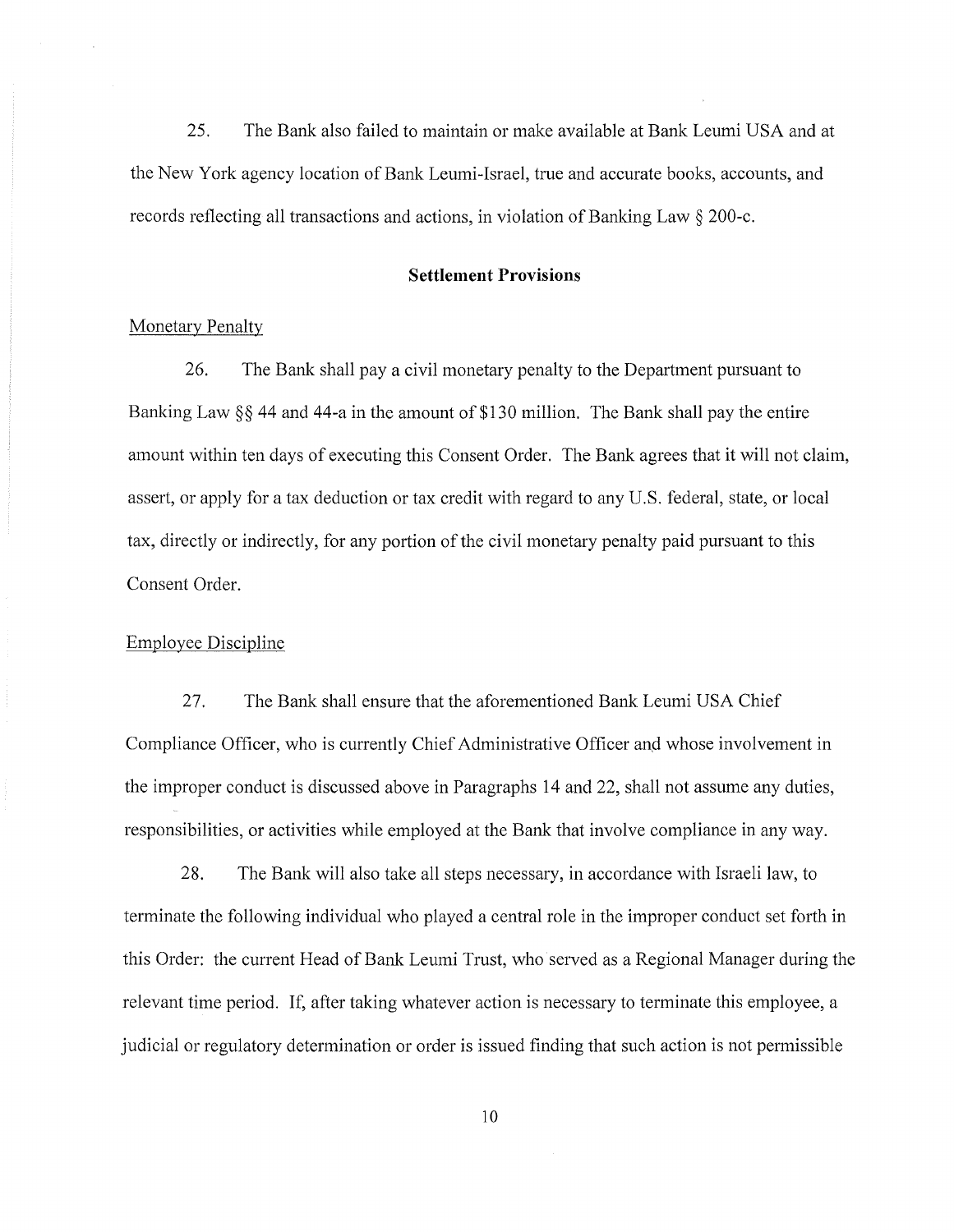25. The Bank also failed to maintain or make available at Bank Leumi USA and at the New York agency location of Bank Leumi-Israel, true and accurate books, accounts, and records reflecting all transactions and actions, in violation of Banking Law § 200-c.

#### **Settlement Provisions**

#### Monetary Penalty

26. The Bank shall pay a civil monetary penalty to the Department pursuant to Banking Law  $\S$ § 44 and 44-a in the amount of \$130 million. The Bank shall pay the entire amount within ten days of executing this Consent Order. The Bank agrees that it will not claim, assert, or apply for a tax deduction or tax credit with regard to any U.S. federal, state, or local tax, directly or indirectly, for any portion of the civil monetary penalty paid pursuant to this Consent Order.

#### Employee Discipline

27. The Bank shall ensure that the aforementioned Bank Leumi USA Chief Compliance Officer, who is currently Chief Administrative Officer anq whose involvement in the improper conduct is discussed above in Paragraphs 14 and 22, shall not assume any duties, responsibilities, or activities while employed at the Bank that involve compliance in any way.

28. The Bank will also take all steps necessary, in accordance with Israeli law, to terminate the following individual who played a central role in the improper conduct set forth in this Order: the current Head of Bank Leumi Trust, who served as a Regional Manager during the relevant time period. If, after taking whatever action is necessary to terminate this employee, a judicial or regulatory determination or order is issued finding that such action is not permissible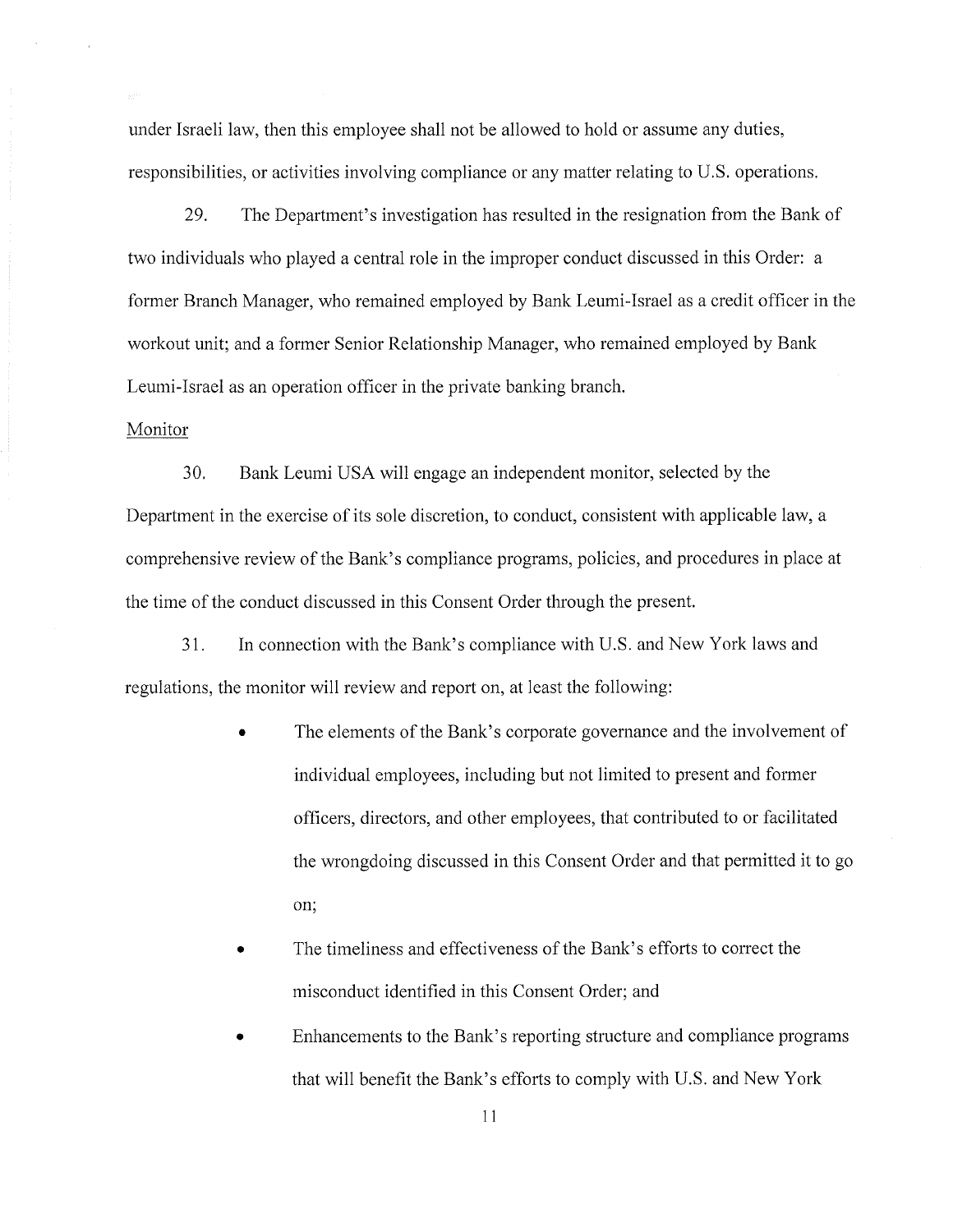under Israeli law, then this employee shall not be allowed to hold or assume any duties, responsibilities, or activities involving compliance or any matter relating to U.S. operations.

29. The Department's investigation has resulted in the resignation from the Bank of two individuals who played a central role in the improper conduct discussed in this Order: a former Branch Manager, who remained employed by Bank Leumi-Israel as a credit officer in the workout unit; and a former Senior Relationship Manager, who remained employed by Bank Leumi-Israel as an operation officer in the private banking branch.

## Monitor

30. Bank Leumi USA will engage an independent monitor, selected by the Department in the exercise of its sole discretion, to conduct, consistent with applicable law, a comprehensive review of the Bank's compliance programs, policies, and procedures in place at the time of the conduct discussed in this Consent Order through the present.

31. In connection with the Bank's compliance with U.S. and New York laws and regulations, the monitor will review and report on, at least the following:

- The elements of the Bank's corporate governance and the involvement of individual employees, including but not limited to present and former officers, directors, and other employees, that contributed to or facilitated the wrongdoing discussed in this Consent Order and that permitted it to go on;
- The timeliness and effectiveness of the Bank's efforts to correct the misconduct identified in this Consent Order; and
- Enhancements to the Bank's reporting structure and compliance programs that will benefit the Bank's efforts to comply with U.S. and New York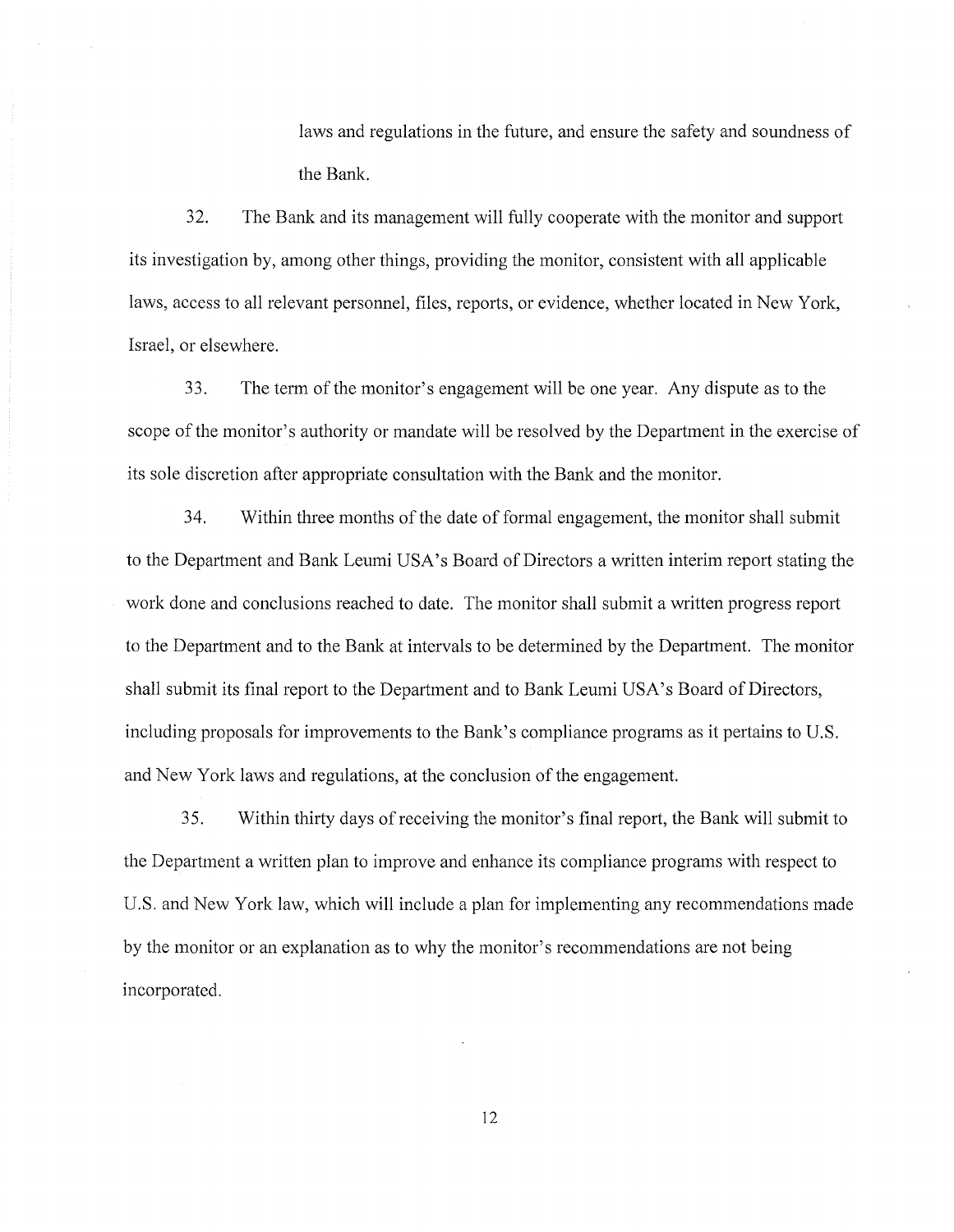laws and regulations in the future, and ensure the safety and soundness of the Bank.

32. The Bank and its management will fully cooperate with the monitor and support its investigation by, among other things, providing the monitor, consistent with all applicable laws, access to all relevant personnel, files, reports, or evidence, whether located in New York, Israel, or elsewhere.

33. The term of the monitor's engagement will be one year. Any dispute as to the scope of the monitor's authority or mandate will be resolved by the Department in the exercise of its sole discretion after appropriate consultation with the Bank and the monitor.

34. Within three months of the date of formal engagement, the monitor shall submit to the Department and Bank Leumi USA's Board of Directors a written interim report stating the work done and conclusions reached to date. The monitor shall submit a written progress report to the Department and to the Bank at intervals to be determined by the Department. The monitor shall submit its final report to the Department and to Bank Leumi USA's Board of Directors, including proposals for improvements to the Bank's compliance programs as it pertains to U.S. and New York laws and regulations, at the conclusion of the engagement.

35. Within thirty days of receiving the monitor's final report, the Bank will submit to the Department a written plan to improve and enhance its compliance programs with respect to U.S. and New York law, which will include a plan for implementing any recommendations made by the monitor or an explanation as to why the monitor's recommendations are not being incorporated.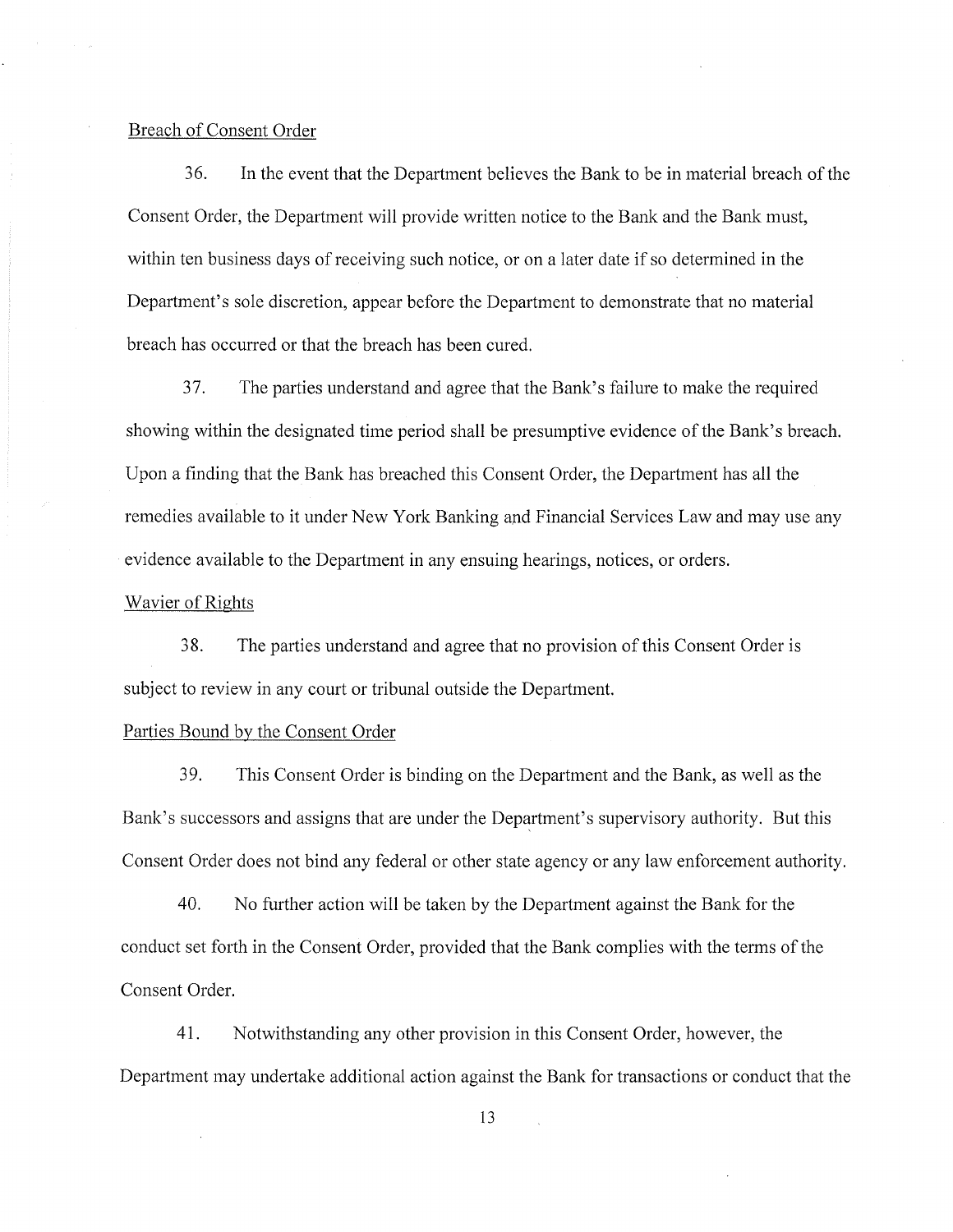## Breach of Consent Order

36. In the event that the Department believes the Bank to be in material breach of the Consent Order, the Department will provide written notice to the Bank and the Bank must, within ten business days of receiving such notice, or on a later date if so determined in the Department's sole discretion, appear before the Department to demonstrate that no material breach has occurred or that the breach has been cured.

37. The parties understand and agree that the Bank's failure to make the required showing within the designated time period shall be presumptive evidence of the Bank's breach. Upon a finding that the Bank has breached this Consent Order, the Department has all the remedies available to it under New York Banking and Financial Services Law and may use any evidence available to the Department in any ensuing hearings, notices, or orders.

## Wavier of Rights

38. The parties understand and agree that no provision of this Consent Order is subject to review in any court or tribunal outside the Department.

## Parties Bound by the Consent Order

39. This Consent Order is binding on the Department and the Bank, as well as the Bank's successors and assigns that are under the Department's supervisory authority. But this Consent Order does not bind any federal or other state agency or any law enforcement authority.

40. No further action will be taken by the Department against the Bank for the conduct set forth in the Consent Order, provided that the Bank complies with the terms of the Consent Order.

41. Notwithstanding any other provision in this Consent Order, however, the Department may undertake additional action against the Bank for transactions or conduct that the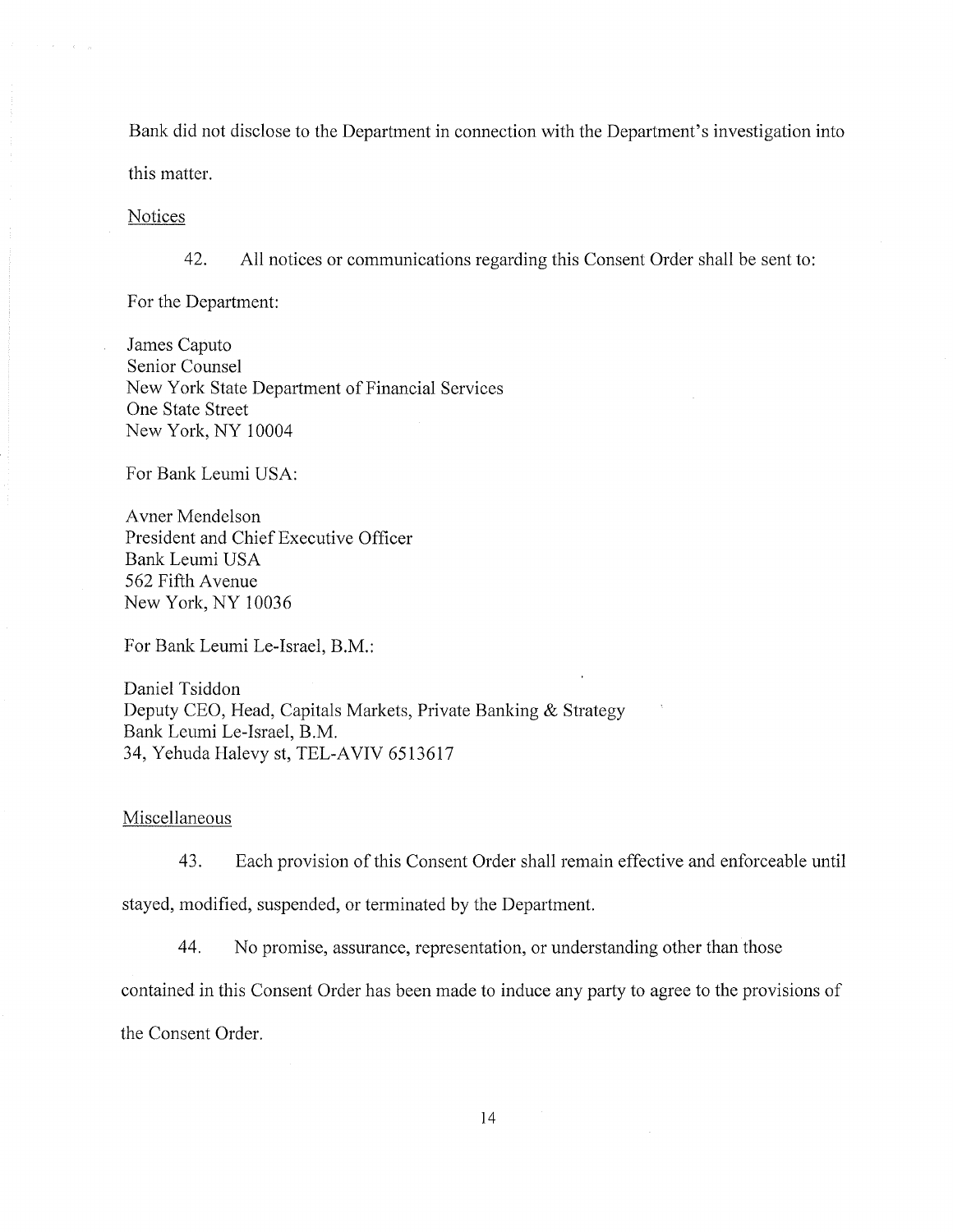Bank did not disclose to the Department in connection with the Department's investigation into this matter.

**Notices** 

 $\lambda = -\epsilon - \pi$ 

42. All notices or communications regarding this Consent Order shall be sent to:

For the Department:

James Caputo Senior Counsel New York State Department of Financial Services One State Street New York, NY 10004

For Bank Leumi USA:

A vner Mendelson President and Chief Executive Officer Bank Leumi USA 562 Fifth A venue New York, NY 10036

For Bank Leumi Le-Israel, B.M.:

Daniel Tsiddon Deputy CEO, Head, Capitals Markets, Private Banking & Strategy Bank Leumi Le-Israel, B.M. 34, Yehuda Halevy st, TEL-AVIV 6513617

Miscellaneous

43. Each provision of this Consent Order shall remain effective and enforceable until

stayed, modified, suspended, or terminated by the Department.

44. No promise, assurance, representation, or understanding other than those

contained in this Consent Order has been made to induce any party to agree to the provisions of

the Consent Order.